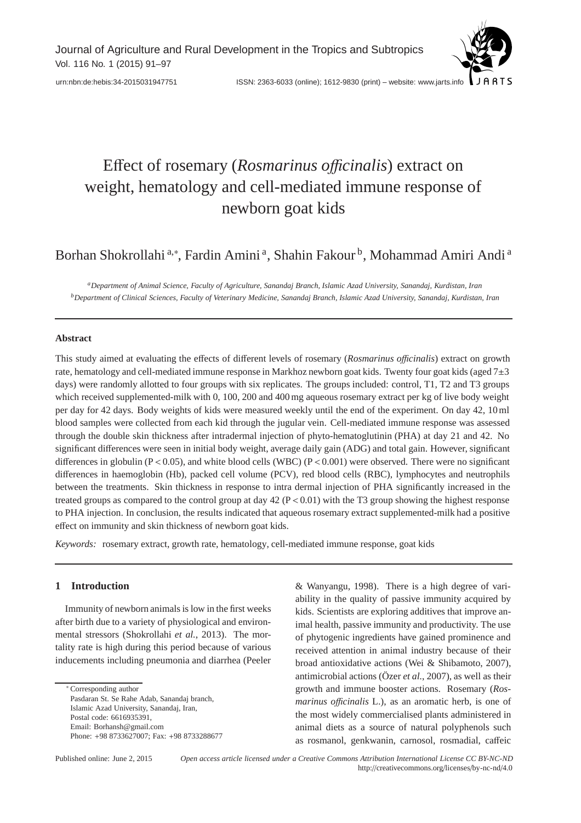Journal of Agriculture and Rural Development in the Tropics and Subtropics Vol. 116 No. 1 (2015) 91–97

# Effect of rosemary (*Rosmarinus o*ffi*cinalis*) extract on weight, hematology and cell-mediated immune response of newborn goat kids

# Borhan Shokrollahi <sup>a,∗</sup>, Fardin Amini <sup>a</sup>, Shahin Fakour <sup>b</sup>, Mohammad Amiri Andi <sup>a</sup>

*aDepartment of Animal Science, Faculty of Agriculture, Sanandaj Branch, Islamic Azad University, Sanandaj, Kurdistan, Iran bDepartment of Clinical Sciences, Faculty of Veterinary Medicine, Sanandaj Branch, Islamic Azad University, Sanandaj, Kurdistan, Iran*

# **Abstract**

This study aimed at evaluating the effects of different levels of rosemary (*Rosmarinus o*ffi*cinalis*) extract on growth rate, hematology and cell-mediated immune response in Markhoz newborn goat kids. Twenty four goat kids (aged 7±3 days) were randomly allotted to four groups with six replicates. The groups included: control, T1, T2 and T3 groups which received supplemented-milk with 0, 100, 200 and 400 mg aqueous rosemary extract per kg of live body weight per day for 42 days. Body weights of kids were measured weekly until the end of the experiment. On day 42, 10 ml blood samples were collected from each kid through the jugular vein. Cell-mediated immune response was assessed through the double skin thickness after intradermal injection of phyto-hematoglutinin (PHA) at day 21 and 42. No significant differences were seen in initial body weight, average daily gain (ADG) and total gain. However, significant differences in globulin (P < 0.05), and white blood cells (WBC) (P < 0.001) were observed. There were no significant differences in haemoglobin (Hb), packed cell volume (PCV), red blood cells (RBC), lymphocytes and neutrophils between the treatments. Skin thickness in response to intra dermal injection of PHA significantly increased in the treated groups as compared to the control group at day  $42 (P < 0.01)$  with the T3 group showing the highest response to PHA injection. In conclusion, the results indicated that aqueous rosemary extract supplemented-milk had a positive effect on immunity and skin thickness of newborn goat kids.

*Keywords:* rosemary extract, growth rate, hematology, cell-mediated immune response, goat kids

# **1 Introduction**

Immunity of newborn animals is low in the first weeks after birth due to a variety of physiological and environmental stressors (Shokrollahi *et al.*, 2013). The mortality rate is high during this period because of various inducements including pneumonia and diarrhea (Peeler

∗ Corresponding author Pasdaran St. Se Rahe Adab, Sanandaj branch, Islamic Azad University, Sanandaj, Iran, Postal code: 6616935391, Email: Borhansh@gmail.com Phone: +98 8733627007; Fax: +98 8733288677 & Wanyangu, 1998). There is a high degree of variability in the quality of passive immunity acquired by kids. Scientists are exploring additives that improve animal health, passive immunity and productivity. The use of phytogenic ingredients have gained prominence and received attention in animal industry because of their broad antioxidative actions (Wei & Shibamoto, 2007), antimicrobial actions (Özer *et al.*, 2007), as well as their growth and immune booster actions. Rosemary (*Rosmarinus officinalis* L.), as an aromatic herb, is one of the most widely commercialised plants administered in animal diets as a source of natural polyphenols such as rosmanol, genkwanin, carnosol, rosmadial, caffeic

Published online: June 2, 2015 *Open access article licensed under a Creative Commons Attribution International License CC BY-NC-ND* http://creativecommons.org/licenses/by-nc-nd/4.0

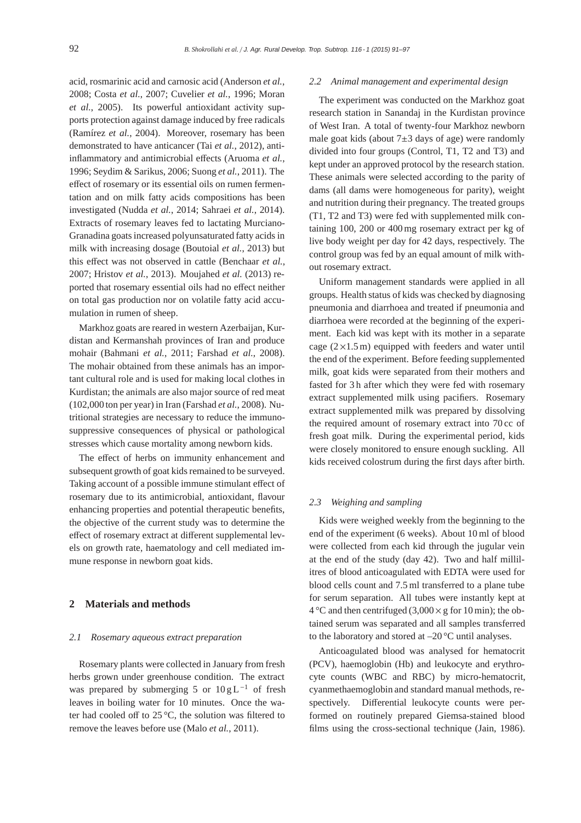acid, rosmarinic acid and carnosic acid (Anderson *et al.*, 2008; Costa *et al.*, 2007; Cuvelier *et al.*, 1996; Moran *et al.*, 2005). Its powerful antioxidant activity supports protection against damage induced by free radicals (Ramírez *et al.*, 2004). Moreover, rosemary has been demonstrated to have anticancer (Tai *et al.*, 2012), antiinflammatory and antimicrobial effects (Aruoma *et al.*, 1996; Seydim & Sarikus, 2006; Suong *et al.*, 2011). The effect of rosemary or its essential oils on rumen fermentation and on milk fatty acids compositions has been investigated (Nudda *et al.*, 2014; Sahraei *et al.*, 2014). Extracts of rosemary leaves fed to lactating Murciano-Granadina goats increased polyunsaturated fatty acids in milk with increasing dosage (Boutoial *et al.*, 2013) but this effect was not observed in cattle (Benchaar *et al.*, 2007; Hristov *et al.*, 2013). Moujahed *et al.* (2013) reported that rosemary essential oils had no effect neither on total gas production nor on volatile fatty acid accumulation in rumen of sheep.

Markhoz goats are reared in western Azerbaijan, Kurdistan and Kermanshah provinces of Iran and produce mohair (Bahmani *et al.*, 2011; Farshad *et al.*, 2008). The mohair obtained from these animals has an important cultural role and is used for making local clothes in Kurdistan; the animals are also major source of red meat (102,000 ton per year) in Iran (Farshad *et al.*, 2008). Nutritional strategies are necessary to reduce the immunosuppressive consequences of physical or pathological stresses which cause mortality among newborn kids.

The effect of herbs on immunity enhancement and subsequent growth of goat kids remained to be surveyed. Taking account of a possible immune stimulant effect of rosemary due to its antimicrobial, antioxidant, flavour enhancing properties and potential therapeutic benefits, the objective of the current study was to determine the effect of rosemary extract at different supplemental levels on growth rate, haematology and cell mediated immune response in newborn goat kids.

# **2 Materials and methods**

#### *2.1 Rosemary aqueous extract preparation*

Rosemary plants were collected in January from fresh herbs grown under greenhouse condition. The extract was prepared by submerging 5 or  $10 g L^{-1}$  of fresh leaves in boiling water for 10 minutes. Once the water had cooled off to 25 °C, the solution was filtered to remove the leaves before use (Malo *et al.*, 2011).

#### *2.2 Animal management and experimental design*

The experiment was conducted on the Markhoz goat research station in Sanandaj in the Kurdistan province of West Iran. A total of twenty-four Markhoz newborn male goat kids (about  $7\pm3$  days of age) were randomly divided into four groups (Control, T1, T2 and T3) and kept under an approved protocol by the research station. These animals were selected according to the parity of dams (all dams were homogeneous for parity), weight and nutrition during their pregnancy. The treated groups (T1, T2 and T3) were fed with supplemented milk containing 100, 200 or 400 mg rosemary extract per kg of live body weight per day for 42 days, respectively. The control group was fed by an equal amount of milk without rosemary extract.

Uniform management standards were applied in all groups. Health status of kids was checked by diagnosing pneumonia and diarrhoea and treated if pneumonia and diarrhoea were recorded at the beginning of the experiment. Each kid was kept with its mother in a separate cage  $(2 \times 1.5 \text{ m})$  equipped with feeders and water until the end of the experiment. Before feeding supplemented milk, goat kids were separated from their mothers and fasted for 3 h after which they were fed with rosemary extract supplemented milk using pacifiers. Rosemary extract supplemented milk was prepared by dissolving the required amount of rosemary extract into 70 cc of fresh goat milk. During the experimental period, kids were closely monitored to ensure enough suckling. All kids received colostrum during the first days after birth.

## *2.3 Weighing and sampling*

Kids were weighed weekly from the beginning to the end of the experiment (6 weeks). About 10 ml of blood were collected from each kid through the jugular vein at the end of the study (day 42). Two and half millilitres of blood anticoagulated with EDTA were used for blood cells count and 7.5 ml transferred to a plane tube for serum separation. All tubes were instantly kept at  $4^{\circ}$ C and then centrifuged (3,000  $\times$  g for 10 min); the obtained serum was separated and all samples transferred to the laboratory and stored at  $-20^{\circ}$ C until analyses.

Anticoagulated blood was analysed for hematocrit (PCV), haemoglobin (Hb) and leukocyte and erythrocyte counts (WBC and RBC) by micro-hematocrit, cyanmethaemoglobin and standard manual methods, respectively. Differential leukocyte counts were performed on routinely prepared Giemsa-stained blood films using the cross-sectional technique (Jain, 1986).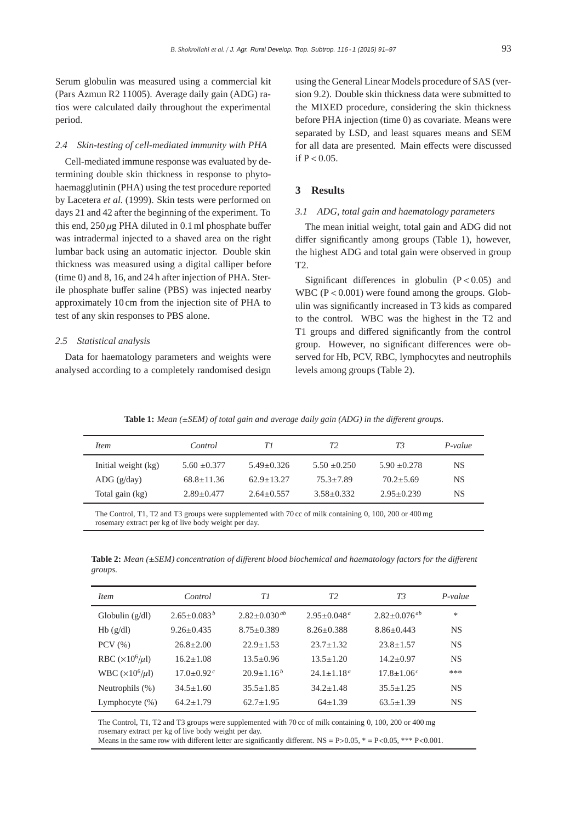Serum globulin was measured using a commercial kit (Pars Azmun R2 11005). Average daily gain (ADG) ratios were calculated daily throughout the experimental period.

#### *2.4 Skin-testing of cell-mediated immunity with PHA*

Cell-mediated immune response was evaluated by determining double skin thickness in response to phytohaemagglutinin (PHA) using the test procedure reported by Lacetera *et al.* (1999). Skin tests were performed on days 21 and 42 after the beginning of the experiment. To this end,  $250 \mu$ g PHA diluted in 0.1 ml phosphate buffer was intradermal injected to a shaved area on the right lumbar back using an automatic injector. Double skin thickness was measured using a digital calliper before (time 0) and 8, 16, and 24 h after injection of PHA. Sterile phosphate buffer saline (PBS) was injected nearby approximately 10 cm from the injection site of PHA to test of any skin responses to PBS alone.

#### *2.5 Statistical analysis*

Data for haematology parameters and weights were analysed according to a completely randomised design

using the General Linear Models procedure of SAS (version 9.2). Double skin thickness data were submitted to the MIXED procedure, considering the skin thickness before PHA injection (time 0) as covariate. Means were separated by LSD, and least squares means and SEM for all data are presented. Main effects were discussed if  $P < 0.05$ .

# **3 Results**

## *3.1 ADG, total gain and haematology parameters*

The mean initial weight, total gain and ADG did not differ significantly among groups (Table 1), however, the highest ADG and total gain were observed in group T2.

Significant differences in globulin  $(P < 0.05)$  and WBC ( $P < 0.001$ ) were found among the groups. Globulin was significantly increased in T3 kids as compared to the control. WBC was the highest in the T2 and T1 groups and differed significantly from the control group. However, no significant differences were observed for Hb, PCV, RBC, lymphocytes and neutrophils levels among groups (Table 2).

**Table 1:** *Mean (*±*SEM) of total gain and average daily gain (ADG) in the di*ff*erent groups.*

| <i>Item</i>          | Control          | TΙ               | T2               | T3               | $P-value$ |
|----------------------|------------------|------------------|------------------|------------------|-----------|
| Initial weight (kg)  | $5.60 \pm 0.377$ | $5.49 \pm 0.326$ | $5.50 \pm 0.250$ | $5.90 \pm 0.278$ | NS        |
| $\text{ADG}$ (g/day) | $68.8 \pm 11.36$ | $62.9 \pm 13.27$ | $75.3 \pm 7.89$  | $70.2 + 5.69$    | NS.       |
| Total gain (kg)      | $2.89 \pm 0.477$ | $2.64 \pm 0.557$ | $3.58 \pm 0.332$ | $2.95 \pm 0.239$ | <b>NS</b> |
|                      |                  |                  |                  |                  |           |

The Control, T1, T2 and T3 groups were supplemented with 70 cc of milk containing 0, 100, 200 or 400 mg rosemary extract per kg of live body weight per day.

**Table 2:** *Mean (*±*SEM) concentration of di*ff*erent blood biochemical and haematology factors for the di*ff*erent groups.*

| <i>Item</i>               | Control                      | TΙ                    | T2                 | T3                             | $P-value$ |
|---------------------------|------------------------------|-----------------------|--------------------|--------------------------------|-----------|
| Globulin $(g/dl)$         | $2.65 \pm 0.083^b$           | $2.82 \pm 0.030^{ab}$ | $2.95 \pm 0.048^a$ | $2.82 \pm 0.076$ <sup>ab</sup> | $\ast$    |
| Hb(g/dl)                  | $9.26 \pm 0.435$             | $8.75 \pm 0.389$      | $8.26 \pm 0.388$   | $8.86 \pm 0.443$               | <b>NS</b> |
| $PCV$ $(\% )$             | $26.8 \pm 2.00$              | $22.9 \pm 1.53$       | $23.7 + 1.32$      | $23.8 \pm 1.57$                | <b>NS</b> |
| RBC $(\times 10^6/\mu l)$ | $16.2 \pm 1.08$              | $13.5 \pm 0.96$       | $13.5 \pm 1.20$    | $14.2 \pm 0.97$                | <b>NS</b> |
| WBC $(\times 10^6/\mu l)$ | $17.0 \pm 0.92$ <sup>c</sup> | $20.9 \pm 1.16^b$     | $24.1 + 1.18a$     | $17.8 \pm 1.06c$               | ***       |
| Neutrophils $(\%)$        | $34.5 \pm 1.60$              | $35.5 \pm 1.85$       | $34.2 \pm 1.48$    | $35.5 \pm 1.25$                | <b>NS</b> |
| Lymphocyte $(\%)$         | $64.2 \pm 1.79$              | $62.7 \pm 1.95$       | $64 \pm 1.39$      | $63.5 \pm 1.39$                | <b>NS</b> |

The Control, T1, T2 and T3 groups were supplemented with 70 cc of milk containing 0, 100, 200 or 400 mg rosemary extract per kg of live body weight per day.

Means in the same row with different letter are significantly different.  $NS = P > 0.05$ , \*\*\* P<0.001.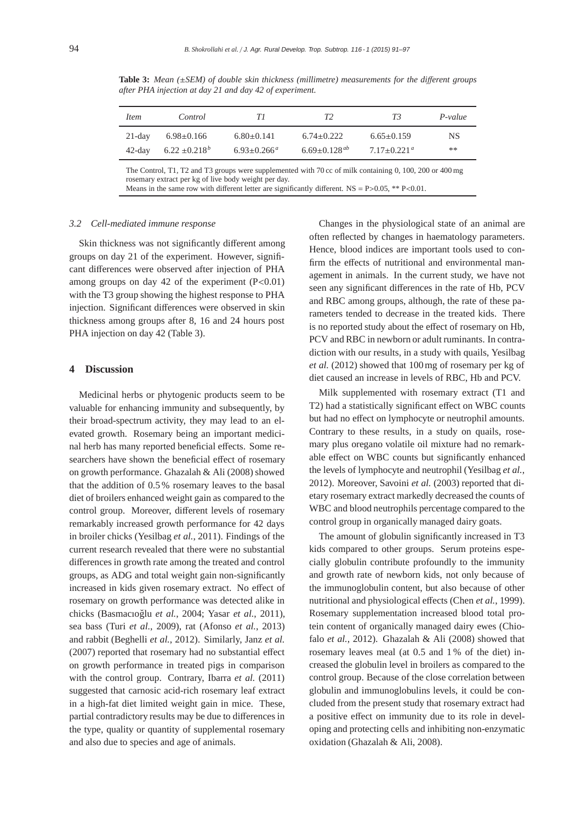| Item      | Control            | TΙ                            | T <sub>2</sub>        | T3                            | $P-value$ |
|-----------|--------------------|-------------------------------|-----------------------|-------------------------------|-----------|
| $21$ -day | $6.98 \pm 0.166$   | $6.80\pm0.141$                | $6.74 \pm 0.222$      | $6.65 \pm 0.159$              | NS.       |
| $42$ -day | $6.22 \pm 0.218^b$ | $6.93 \pm 0.266$ <sup>a</sup> | $6.69 \pm 0.128^{ab}$ | $7.17 \pm 0.221$ <sup>a</sup> | **        |

**Table 3:** *Mean (*±*SEM) of double skin thickness (millimetre) measurements for the di*ff*erent groups after PHA injection at day 21 and day 42 of experiment.*

The Control, T1, T2 and T3 groups were supplemented with 70 cc of milk containing 0, 100, 200 or 400 mg rosemary extract per kg of live body weight per day. Means in the same row with different letter are significantly different.  $NS = P > 0.05$ , \*\*  $P < 0.01$ .

*3.2 Cell-mediated immune response*

Skin thickness was not significantly different among groups on day 21 of the experiment. However, significant differences were observed after injection of PHA among groups on day 42 of the experiment  $(P<0.01)$ with the T3 group showing the highest response to PHA injection. Significant differences were observed in skin thickness among groups after 8, 16 and 24 hours post PHA injection on day 42 (Table 3).

#### **4 Discussion**

Medicinal herbs or phytogenic products seem to be valuable for enhancing immunity and subsequently, by their broad-spectrum activity, they may lead to an elevated growth. Rosemary being an important medicinal herb has many reported beneficial effects. Some researchers have shown the beneficial effect of rosemary on growth performance. Ghazalah & Ali (2008) showed that the addition of 0.5 % rosemary leaves to the basal diet of broilers enhanced weight gain as compared to the control group. Moreover, different levels of rosemary remarkably increased growth performance for 42 days in broiler chicks (Yesilbag *et al.*, 2011). Findings of the current research revealed that there were no substantial differences in growth rate among the treated and control groups, as ADG and total weight gain non-significantly increased in kids given rosemary extract. No effect of rosemary on growth performance was detected alike in chicks (Basmacıoğlu et al., 2004; Yasar et al., 2011), sea bass (Turi *et al.*, 2009), rat (Afonso *et al.*, 2013) and rabbit (Beghelli *et al.*, 2012). Similarly, Janz *et al.* (2007) reported that rosemary had no substantial effect on growth performance in treated pigs in comparison with the control group. Contrary, Ibarra et al. (2011) suggested that carnosic acid-rich rosemary leaf extract in a high-fat diet limited weight gain in mice. These, partial contradictory results may be due to differences in the type, quality or quantity of supplemental rosemary and also due to species and age of animals.

Changes in the physiological state of an animal are often reflected by changes in haematology parameters. Hence, blood indices are important tools used to confirm the effects of nutritional and environmental management in animals. In the current study, we have not seen any significant differences in the rate of Hb, PCV and RBC among groups, although, the rate of these parameters tended to decrease in the treated kids. There is no reported study about the effect of rosemary on Hb, PCV and RBC in newborn or adult ruminants. In contradiction with our results, in a study with quails, Yesilbag *et al.* (2012) showed that 100 mg of rosemary per kg of diet caused an increase in levels of RBC, Hb and PCV.

Milk supplemented with rosemary extract (T1 and T2) had a statistically significant effect on WBC counts but had no effect on lymphocyte or neutrophil amounts. Contrary to these results, in a study on quails, rosemary plus oregano volatile oil mixture had no remarkable effect on WBC counts but significantly enhanced the levels of lymphocyte and neutrophil (Yesilbag *et al.*, 2012). Moreover, Savoini *et al.* (2003) reported that dietary rosemary extract markedly decreased the counts of WBC and blood neutrophils percentage compared to the control group in organically managed dairy goats.

The amount of globulin significantly increased in T3 kids compared to other groups. Serum proteins especially globulin contribute profoundly to the immunity and growth rate of newborn kids, not only because of the immunoglobulin content, but also because of other nutritional and physiological effects (Chen *et al.*, 1999). Rosemary supplementation increased blood total protein content of organically managed dairy ewes (Chiofalo *et al.*, 2012). Ghazalah & Ali (2008) showed that rosemary leaves meal (at 0.5 and 1 % of the diet) increased the globulin level in broilers as compared to the control group. Because of the close correlation between globulin and immunoglobulins levels, it could be concluded from the present study that rosemary extract had a positive effect on immunity due to its role in developing and protecting cells and inhibiting non-enzymatic oxidation (Ghazalah & Ali, 2008).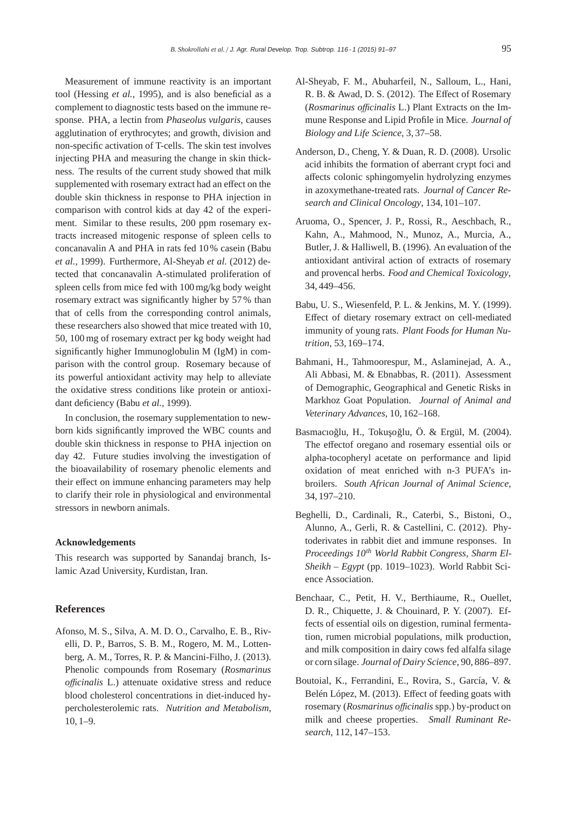Measurement of immune reactivity is an important tool (Hessing *et al.*, 1995), and is also beneficial as a complement to diagnostic tests based on the immune response. PHA, a lectin from *Phaseolus vulgaris*, causes agglutination of erythrocytes; and growth, division and non-specific activation of T-cells. The skin test involves injecting PHA and measuring the change in skin thickness. The results of the current study showed that milk supplemented with rosemary extract had an effect on the double skin thickness in response to PHA injection in comparison with control kids at day 42 of the experiment. Similar to these results, 200 ppm rosemary extracts increased mitogenic response of spleen cells to concanavalin A and PHA in rats fed 10 % casein (Babu *et al.*, 1999). Furthermore, Al-Sheyab *et al.* (2012) detected that concanavalin A-stimulated proliferation of spleen cells from mice fed with 100 mg/kg body weight rosemary extract was significantly higher by 57 % than that of cells from the corresponding control animals, these researchers also showed that mice treated with 10, 50, 100 mg of rosemary extract per kg body weight had significantly higher Immunoglobulin M (IgM) in comparison with the control group. Rosemary because of its powerful antioxidant activity may help to alleviate the oxidative stress conditions like protein or antioxidant deficiency (Babu *et al.*, 1999).

In conclusion, the rosemary supplementation to newborn kids significantly improved the WBC counts and double skin thickness in response to PHA injection on day 42. Future studies involving the investigation of the bioavailability of rosemary phenolic elements and their effect on immune enhancing parameters may help to clarify their role in physiological and environmental stressors in newborn animals.

#### **Acknowledgements**

This research was supported by Sanandaj branch, Islamic Azad University, Kurdistan, Iran.

# **References**

Afonso, M. S., Silva, A. M. D. O., Carvalho, E. B., Rivelli, D. P., Barros, S. B. M., Rogero, M. M., Lottenberg, A. M., Torres, R. P. & Mancini-Filho, J. (2013). Phenolic compounds from Rosemary (*Rosmarinus officinalis* L.) attenuate oxidative stress and reduce blood cholesterol concentrations in diet-induced hypercholesterolemic rats. *Nutrition and Metabolism*, 10, 1–9.

- Al-Sheyab, F. M., Abuharfeil, N., Salloum, L., Hani, R. B. & Awad, D. S. (2012). The Effect of Rosemary (*Rosmarinus o*ffi*cinalis* L.) Plant Extracts on the Immune Response and Lipid Profile in Mice. *Journal of Biology and Life Science*, 3, 37–58.
- Anderson, D., Cheng, Y. & Duan, R. D. (2008). Ursolic acid inhibits the formation of aberrant crypt foci and affects colonic sphingomyelin hydrolyzing enzymes in azoxymethane-treated rats. *Journal of Cancer Research and Clinical Oncology*, 134, 101–107.
- Aruoma, O., Spencer, J. P., Rossi, R., Aeschbach, R., Kahn, A., Mahmood, N., Munoz, A., Murcia, A., Butler, J. & Halliwell, B. (1996). An evaluation of the antioxidant antiviral action of extracts of rosemary and provencal herbs. *Food and Chemical Toxicology*, 34, 449–456.
- Babu, U. S., Wiesenfeld, P. L. & Jenkins, M. Y. (1999). Effect of dietary rosemary extract on cell-mediated immunity of young rats. *Plant Foods for Human Nutrition*, 53, 169–174.
- Bahmani, H., Tahmoorespur, M., Aslaminejad, A. A., Ali Abbasi, M. & Ebnabbas, R. (2011). Assessment of Demographic, Geographical and Genetic Risks in Markhoz Goat Population. *Journal of Animal and Veterinary Advances*, 10, 162–168.
- Basmacıoğlu, H., Tokuşoğlu, Ö. & Ergül, M. (2004). The effectof oregano and rosemary essential oils or alpha-tocopheryl acetate on performance and lipid oxidation of meat enriched with n-3 PUFA's inbroilers. *South African Journal of Animal Science*, 34, 197–210.
- Beghelli, D., Cardinali, R., Caterbi, S., Bistoni, O., Alunno, A., Gerli, R. & Castellini, C. (2012). Phytoderivates in rabbit diet and immune responses. In *Proceedings 10th World Rabbit Congress, Sharm El-Sheikh – Egypt* (pp. 1019–1023). World Rabbit Science Association.
- Benchaar, C., Petit, H. V., Berthiaume, R., Ouellet, D. R., Chiquette, J. & Chouinard, P. Y. (2007). Effects of essential oils on digestion, ruminal fermentation, rumen microbial populations, milk production, and milk composition in dairy cows fed alfalfa silage or corn silage. *Journal of Dairy Science*, 90, 886–897.
- Boutoial, K., Ferrandini, E., Rovira, S., García, V. & Belén López, M. (2013). Effect of feeding goats with rosemary (*Rosmarinus o*ffi*cinalis* spp.) by-product on milk and cheese properties. *Small Ruminant Research*, 112, 147–153.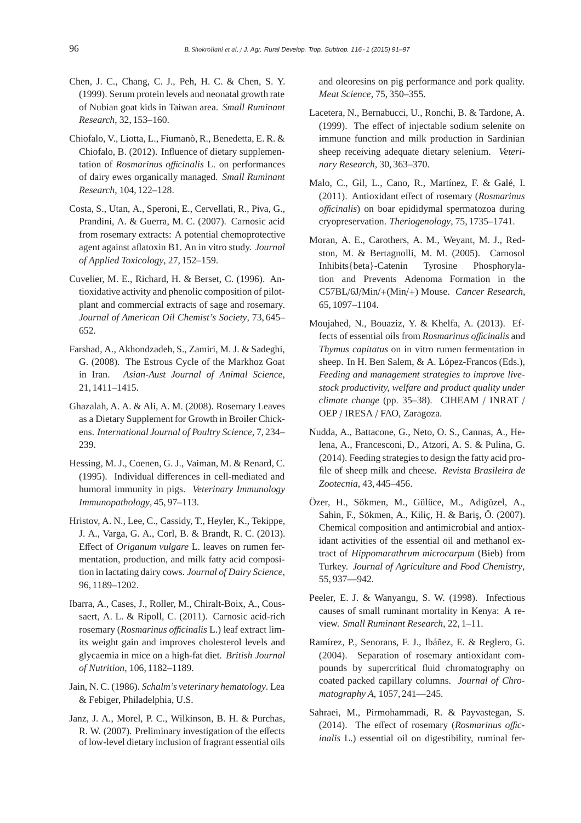- Chen, J. C., Chang, C. J., Peh, H. C. & Chen, S. Y. (1999). Serum protein levels and neonatal growth rate of Nubian goat kids in Taiwan area. *Small Ruminant Research*, 32, 153–160.
- Chiofalo, V., Liotta, L., Fiumanò, R., Benedetta, E. R. & Chiofalo, B. (2012). Influence of dietary supplementation of *Rosmarinus o*ffi*cinalis* L. on performances of dairy ewes organically managed. *Small Ruminant Research*, 104, 122–128.
- Costa, S., Utan, A., Speroni, E., Cervellati, R., Piva, G., Prandini, A. & Guerra, M. C. (2007). Carnosic acid from rosemary extracts: A potential chemoprotective agent against aflatoxin B1. An in vitro study. *Journal of Applied Toxicology*, 27, 152–159.
- Cuvelier, M. E., Richard, H. & Berset, C. (1996). Antioxidative activity and phenolic composition of pilotplant and commercial extracts of sage and rosemary. *Journal of American Oil Chemist's Society*, 73, 645– 652.
- Farshad, A., Akhondzadeh, S., Zamiri, M. J. & Sadeghi, G. (2008). The Estrous Cycle of the Markhoz Goat in Iran. *Asian-Aust Journal of Animal Science*, 21, 1411–1415.
- Ghazalah, A. A. & Ali, A. M. (2008). Rosemary Leaves as a Dietary Supplement for Growth in Broiler Chickens. *International Journal of Poultry Science*, 7, 234– 239.
- Hessing, M. J., Coenen, G. J., Vaiman, M. & Renard, C. (1995). Individual differences in cell-mediated and humoral immunity in pigs. *Veterinary Immunology Immunopathology*, 45, 97–113.
- Hristov, A. N., Lee, C., Cassidy, T., Heyler, K., Tekippe, J. A., Varga, G. A., Corl, B. & Brandt, R. C. (2013). Effect of *Origanum vulgare* L. leaves on rumen fermentation, production, and milk fatty acid composition in lactating dairy cows. *Journal of Dairy Science*, 96, 1189–1202.
- Ibarra, A., Cases, J., Roller, M., Chiralt-Boix, A., Coussaert, A. L. & Ripoll, C. (2011). Carnosic acid-rich rosemary (*Rosmarinus o*ffi*cinalis* L.) leaf extract limits weight gain and improves cholesterol levels and glycaemia in mice on a high-fat diet. *British Journal of Nutrition*, 106, 1182–1189.
- Jain, N. C. (1986). *Schalm's veterinary hematology*. Lea & Febiger, Philadelphia, U.S.
- Janz, J. A., Morel, P. C., Wilkinson, B. H. & Purchas, R. W. (2007). Preliminary investigation of the effects of low-level dietary inclusion of fragrant essential oils

and oleoresins on pig performance and pork quality. *Meat Science*, 75, 350–355.

- Lacetera, N., Bernabucci, U., Ronchi, B. & Tardone, A. (1999). The effect of injectable sodium selenite on immune function and milk production in Sardinian sheep receiving adequate dietary selenium. *Veterinary Research*, 30, 363–370.
- Malo, C., Gil, L., Cano, R., Martínez, F. & Galé, I. (2011). Antioxidant effect of rosemary (*Rosmarinus o*ffi*cinalis*) on boar epididymal spermatozoa during cryopreservation. *Theriogenology*, 75, 1735–1741.
- Moran, A. E., Carothers, A. M., Weyant, M. J., Redston, M. & Bertagnolli, M. M. (2005). Carnosol Inhibits{beta}-Catenin Tyrosine Phosphorylation and Prevents Adenoma Formation in the C57BL/6J/Min/+(Min/+) Mouse. *Cancer Research*, 65, 1097–1104.
- Moujahed, N., Bouaziz, Y. & Khelfa, A. (2013). Effects of essential oils from *Rosmarinus o*ffi*cinalis* and *Thymus capitatus* on in vitro rumen fermentation in sheep. In H. Ben Salem, & A. López-Francos (Eds.), *Feeding and management strategies to improve livestock productivity, welfare and product quality under climate change* (pp. 35–38). CIHEAM / INRAT / OEP / IRESA / FAO, Zaragoza.
- Nudda, A., Battacone, G., Neto, O. S., Cannas, A., Helena, A., Francesconi, D., Atzori, A. S. & Pulina, G. (2014). Feeding strategies to design the fatty acid profile of sheep milk and cheese. *Revista Brasileira de Zootecnia*, 43, 445–456.
- Özer, H., Sökmen, M., Gülüce, M., Adigüzel, A., Sahin, F., Sökmen, A., Kiliç, H. & Bariş, Ö. (2007). Chemical composition and antimicrobial and antioxidant activities of the essential oil and methanol extract of *Hippomarathrum microcarpum* (Bieb) from Turkey. *Journal of Agriculture and Food Chemistry*, 55, 937—942.
- Peeler, E. J. & Wanyangu, S. W. (1998). Infectious causes of small ruminant mortality in Kenya: A review. *Small Ruminant Research*, 22, 1–11.
- Ramírez, P., Senorans, F. J., Ibáñez, E. & Reglero, G. (2004). Separation of rosemary antioxidant compounds by supercritical fluid chromatography on coated packed capillary columns. *Journal of Chromatography A*, 1057, 241—245.
- Sahraei, M., Pirmohammadi, R. & Payvastegan, S. (2014). The effect of rosemary (*Rosmarinus o*ffi*cinalis* L.) essential oil on digestibility, ruminal fer-